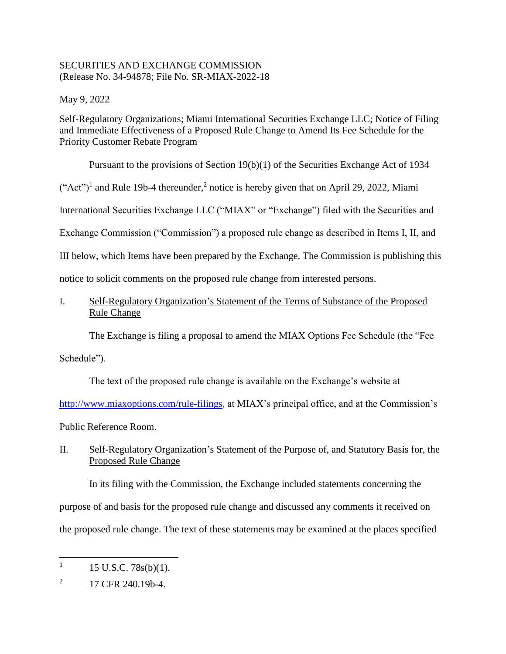## SECURITIES AND EXCHANGE COMMISSION (Release No. 34-94878; File No. SR-MIAX-2022-18

May 9, 2022

Self-Regulatory Organizations; Miami International Securities Exchange LLC; Notice of Filing and Immediate Effectiveness of a Proposed Rule Change to Amend Its Fee Schedule for the Priority Customer Rebate Program

Pursuant to the provisions of Section 19(b)(1) of the Securities Exchange Act of 1934

 $("Act")<sup>1</sup>$  and Rule 19b-4 thereunder,<sup>2</sup> notice is hereby given that on April 29, 2022, Miami

International Securities Exchange LLC ("MIAX" or "Exchange") filed with the Securities and

Exchange Commission ("Commission") a proposed rule change as described in Items I, II, and

III below, which Items have been prepared by the Exchange. The Commission is publishing this

notice to solicit comments on the proposed rule change from interested persons.

I. Self-Regulatory Organization's Statement of the Terms of Substance of the Proposed Rule Change

The Exchange is filing a proposal to amend the MIAX Options Fee Schedule (the "Fee

Schedule").

The text of the proposed rule change is available on the Exchange's website at

[http://www.miaxoptions.com/rule-filings,](http://www.miaxoptions.com/rule-filings) at MIAX's principal office, and at the Commission's

Public Reference Room.

II. Self-Regulatory Organization's Statement of the Purpose of, and Statutory Basis for, the Proposed Rule Change

In its filing with the Commission, the Exchange included statements concerning the purpose of and basis for the proposed rule change and discussed any comments it received on the proposed rule change. The text of these statements may be examined at the places specified

 $\overline{a}$ 

<sup>1</sup> 15 U.S.C. 78s(b)(1).

<sup>2</sup> 17 CFR 240.19b-4.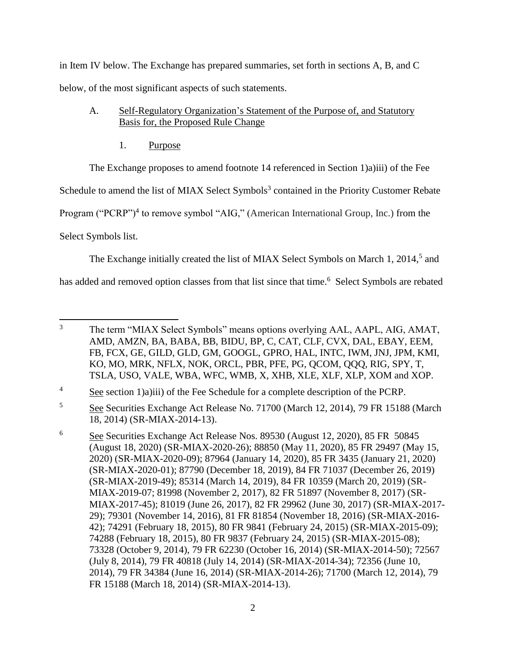in Item IV below. The Exchange has prepared summaries, set forth in sections A, B, and C below, of the most significant aspects of such statements.

- A. Self-Regulatory Organization's Statement of the Purpose of, and Statutory Basis for, the Proposed Rule Change
	- 1. Purpose

The Exchange proposes to amend footnote 14 referenced in Section 1)a)iii) of the Fee

Schedule to amend the list of MIAX Select Symbols<sup>3</sup> contained in the Priority Customer Rebate

Program ("PCRP")<sup>4</sup> to remove symbol "AIG," (American International Group, Inc.) from the

Select Symbols list.

The Exchange initially created the list of MIAX Select Symbols on March 1, 2014,<sup>5</sup> and

has added and removed option classes from that list since that time.<sup>6</sup> Select Symbols are rebated

 $\overline{3}$ <sup>3</sup> The term "MIAX Select Symbols" means options overlying AAL, AAPL, AIG, AMAT, AMD, AMZN, BA, BABA, BB, BIDU, BP, C, CAT, CLF, CVX, DAL, EBAY, EEM, FB, FCX, GE, GILD, GLD, GM, GOOGL, GPRO, HAL, INTC, IWM, JNJ, JPM, KMI, KO, MO, MRK, NFLX, NOK, ORCL, PBR, PFE, PG, QCOM, QQQ, RIG, SPY, T, TSLA, USO, VALE, WBA, WFC, WMB, X, XHB, XLE, XLF, XLP, XOM and XOP.

<sup>&</sup>lt;sup>4</sup> See section 1)a)iii) of the Fee Schedule for a complete description of the PCRP.

<sup>5</sup> See Securities Exchange Act Release No. 71700 (March 12, 2014), 79 FR 15188 (March 18, 2014) (SR-MIAX-2014-13).

<sup>6</sup> See Securities Exchange Act Release Nos. 89530 (August 12, 2020), 85 FR 50845 (August 18, 2020) (SR-MIAX-2020-26); 88850 (May 11, 2020), 85 FR 29497 (May 15, 2020) (SR-MIAX-2020-09); 87964 (January 14, 2020), 85 FR 3435 (January 21, 2020) (SR-MIAX-2020-01); 87790 (December 18, 2019), 84 FR 71037 (December 26, 2019) (SR-MIAX-2019-49); 85314 (March 14, 2019), 84 FR 10359 (March 20, 2019) (SR-MIAX-2019-07; 81998 (November 2, 2017), 82 FR 51897 (November 8, 2017) (SR-MIAX-2017-45); 81019 (June 26, 2017), 82 FR 29962 (June 30, 2017) (SR-MIAX-2017- 29); 79301 (November 14, 2016), 81 FR 81854 (November 18, 2016) (SR-MIAX-2016- 42); 74291 (February 18, 2015), 80 FR 9841 (February 24, 2015) (SR-MIAX-2015-09); 74288 (February 18, 2015), 80 FR 9837 (February 24, 2015) (SR-MIAX-2015-08); 73328 (October 9, 2014), 79 FR 62230 (October 16, 2014) (SR-MIAX-2014-50); 72567 (July 8, 2014), 79 FR 40818 (July 14, 2014) (SR-MIAX-2014-34); 72356 (June 10, 2014), 79 FR 34384 (June 16, 2014) (SR-MIAX-2014-26); 71700 (March 12, 2014), 79 FR 15188 (March 18, 2014) (SR-MIAX-2014-13).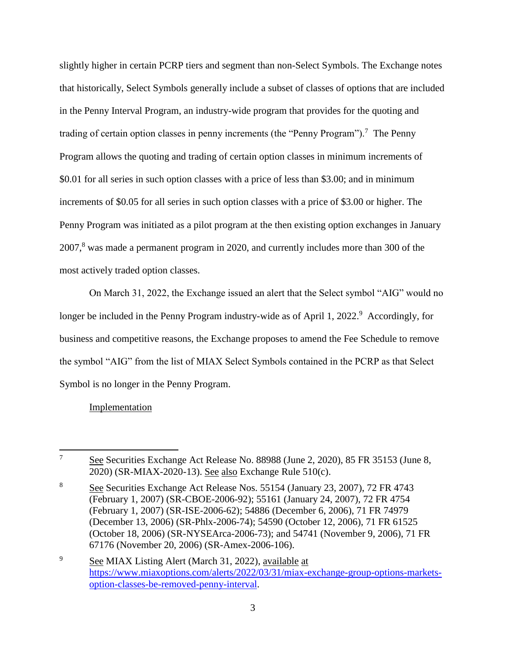slightly higher in certain PCRP tiers and segment than non-Select Symbols. The Exchange notes that historically, Select Symbols generally include a subset of classes of options that are included in the Penny Interval Program, an industry-wide program that provides for the quoting and trading of certain option classes in penny increments (the "Penny Program").<sup>7</sup> The Penny Program allows the quoting and trading of certain option classes in minimum increments of \$0.01 for all series in such option classes with a price of less than \$3.00; and in minimum increments of \$0.05 for all series in such option classes with a price of \$3.00 or higher. The Penny Program was initiated as a pilot program at the then existing option exchanges in January 2007,<sup>8</sup> was made a permanent program in 2020, and currently includes more than 300 of the most actively traded option classes.

On March 31, 2022, the Exchange issued an alert that the Select symbol "AIG" would no longer be included in the Penny Program industry-wide as of April 1, 2022.<sup>9</sup> Accordingly, for business and competitive reasons, the Exchange proposes to amend the Fee Schedule to remove the symbol "AIG" from the list of MIAX Select Symbols contained in the PCRP as that Select Symbol is no longer in the Penny Program.

# Implementation

 $\overline{7}$ <sup>7</sup> See Securities Exchange Act Release No. 88988 (June 2, 2020), 85 FR 35153 (June 8, 2020) (SR-MIAX-2020-13). See also Exchange Rule 510(c).

<sup>8</sup> See Securities Exchange Act Release Nos. 55154 (January 23, 2007), 72 FR 4743 (February 1, 2007) (SR-CBOE-2006-92); 55161 (January 24, 2007), 72 FR 4754 (February 1, 2007) (SR-ISE-2006-62); 54886 (December 6, 2006), 71 FR 74979 (December 13, 2006) (SR-Phlx-2006-74); 54590 (October 12, 2006), 71 FR 61525 (October 18, 2006) (SR-NYSEArca-2006-73); and 54741 (November 9, 2006), 71 FR 67176 (November 20, 2006) (SR-Amex-2006-106).

<sup>9</sup> See MIAX Listing Alert (March 31, 2022), available at [https://www.miaxoptions.com/alerts/2022/03/31/miax-exchange-group-options-markets](https://www.miaxoptions.com/alerts/2022/03/31/miax-exchange-group-options-markets-option-classes-be-removed-penny-interval)[option-classes-be-removed-penny-interval.](https://www.miaxoptions.com/alerts/2022/03/31/miax-exchange-group-options-markets-option-classes-be-removed-penny-interval)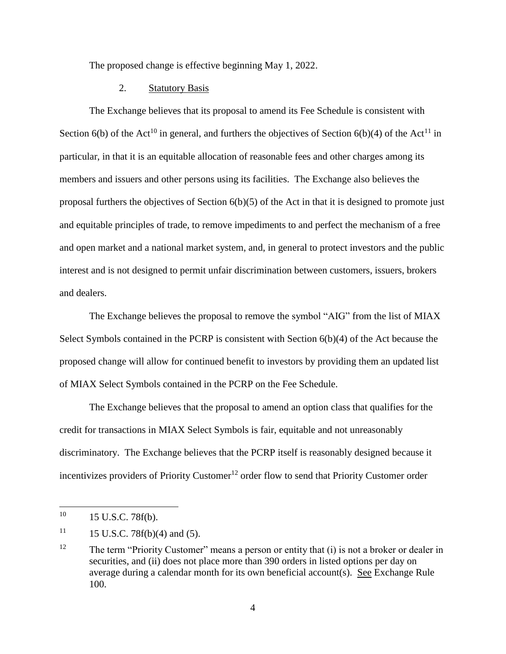The proposed change is effective beginning May 1, 2022.

## 2. Statutory Basis

The Exchange believes that its proposal to amend its Fee Schedule is consistent with Section 6(b) of the Act<sup>10</sup> in general, and furthers the objectives of Section 6(b)(4) of the Act<sup>11</sup> in particular, in that it is an equitable allocation of reasonable fees and other charges among its members and issuers and other persons using its facilities. The Exchange also believes the proposal furthers the objectives of Section 6(b)(5) of the Act in that it is designed to promote just and equitable principles of trade, to remove impediments to and perfect the mechanism of a free and open market and a national market system, and, in general to protect investors and the public interest and is not designed to permit unfair discrimination between customers, issuers, brokers and dealers.

The Exchange believes the proposal to remove the symbol "AIG" from the list of MIAX Select Symbols contained in the PCRP is consistent with Section 6(b)(4) of the Act because the proposed change will allow for continued benefit to investors by providing them an updated list of MIAX Select Symbols contained in the PCRP on the Fee Schedule.

The Exchange believes that the proposal to amend an option class that qualifies for the credit for transactions in MIAX Select Symbols is fair, equitable and not unreasonably discriminatory. The Exchange believes that the PCRP itself is reasonably designed because it incentivizes providers of Priority Customer<sup>12</sup> order flow to send that Priority Customer order

 $\overline{\phantom{a}}$ 

 $10 \qquad 15 \text{ U.S.C. } 78f(b).$ 

 $11$  15 U.S.C. 78f(b)(4) and (5).

<sup>&</sup>lt;sup>12</sup> The term "Priority Customer" means a person or entity that (i) is not a broker or dealer in securities, and (ii) does not place more than 390 orders in listed options per day on average during a calendar month for its own beneficial account(s). See Exchange Rule 100.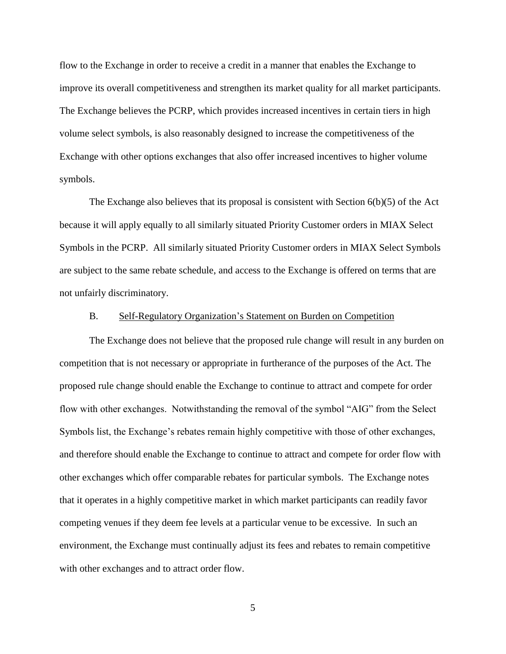flow to the Exchange in order to receive a credit in a manner that enables the Exchange to improve its overall competitiveness and strengthen its market quality for all market participants. The Exchange believes the PCRP, which provides increased incentives in certain tiers in high volume select symbols, is also reasonably designed to increase the competitiveness of the Exchange with other options exchanges that also offer increased incentives to higher volume symbols.

The Exchange also believes that its proposal is consistent with Section 6(b)(5) of the Act because it will apply equally to all similarly situated Priority Customer orders in MIAX Select Symbols in the PCRP. All similarly situated Priority Customer orders in MIAX Select Symbols are subject to the same rebate schedule, and access to the Exchange is offered on terms that are not unfairly discriminatory.

#### B. Self-Regulatory Organization's Statement on Burden on Competition

The Exchange does not believe that the proposed rule change will result in any burden on competition that is not necessary or appropriate in furtherance of the purposes of the Act. The proposed rule change should enable the Exchange to continue to attract and compete for order flow with other exchanges. Notwithstanding the removal of the symbol "AIG" from the Select Symbols list, the Exchange's rebates remain highly competitive with those of other exchanges, and therefore should enable the Exchange to continue to attract and compete for order flow with other exchanges which offer comparable rebates for particular symbols. The Exchange notes that it operates in a highly competitive market in which market participants can readily favor competing venues if they deem fee levels at a particular venue to be excessive. In such an environment, the Exchange must continually adjust its fees and rebates to remain competitive with other exchanges and to attract order flow.

5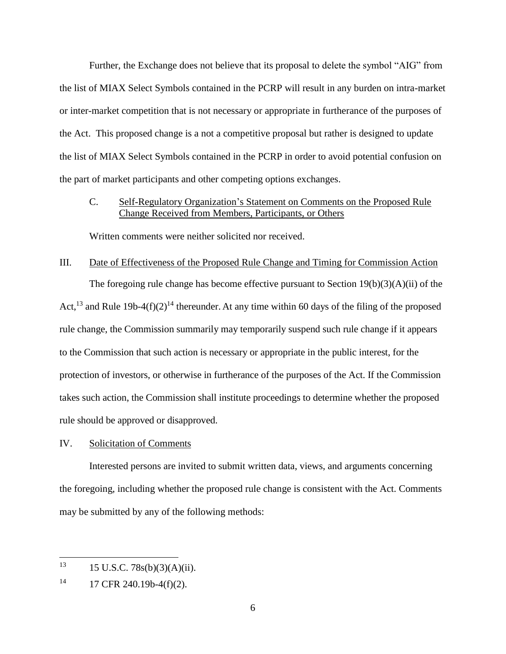Further, the Exchange does not believe that its proposal to delete the symbol "AIG" from the list of MIAX Select Symbols contained in the PCRP will result in any burden on intra-market or inter-market competition that is not necessary or appropriate in furtherance of the purposes of the Act. This proposed change is a not a competitive proposal but rather is designed to update the list of MIAX Select Symbols contained in the PCRP in order to avoid potential confusion on the part of market participants and other competing options exchanges.

# C. Self-Regulatory Organization's Statement on Comments on the Proposed Rule Change Received from Members, Participants, or Others

Written comments were neither solicited nor received.

## III. Date of Effectiveness of the Proposed Rule Change and Timing for Commission Action

The foregoing rule change has become effective pursuant to Section 19(b)(3)(A)(ii) of the Act,<sup>13</sup> and Rule 19b-4(f)(2)<sup>14</sup> thereunder. At any time within 60 days of the filing of the proposed rule change, the Commission summarily may temporarily suspend such rule change if it appears to the Commission that such action is necessary or appropriate in the public interest, for the protection of investors, or otherwise in furtherance of the purposes of the Act. If the Commission takes such action, the Commission shall institute proceedings to determine whether the proposed rule should be approved or disapproved.

## IV. Solicitation of Comments

Interested persons are invited to submit written data, views, and arguments concerning the foregoing, including whether the proposed rule change is consistent with the Act. Comments may be submitted by any of the following methods:

<sup>13</sup> <sup>13</sup> 15 U.S.C. 78s(b)(3)(A)(ii).

 $14$  17 CFR 240.19b-4(f)(2).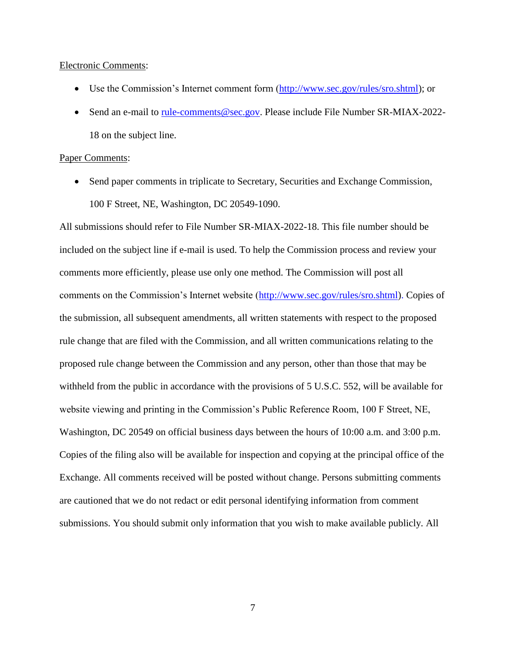#### Electronic Comments:

- Use the Commission's Internet comment form [\(http://www.sec.gov/rules/sro.shtml\)](http://www.sec.gov/rules/sro.shtml); or
- Send an e-mail to [rule-comments@sec.gov.](mailto:rule-comments@sec.gov) Please include File Number SR-MIAX-2022-18 on the subject line.

#### Paper Comments:

• Send paper comments in triplicate to Secretary, Securities and Exchange Commission, 100 F Street, NE, Washington, DC 20549-1090.

All submissions should refer to File Number SR-MIAX-2022-18. This file number should be included on the subject line if e-mail is used. To help the Commission process and review your comments more efficiently, please use only one method. The Commission will post all comments on the Commission's Internet website [\(http://www.sec.gov/rules/sro.shtml\)](http://www.sec.gov/rules/sro.shtml). Copies of the submission, all subsequent amendments, all written statements with respect to the proposed rule change that are filed with the Commission, and all written communications relating to the proposed rule change between the Commission and any person, other than those that may be withheld from the public in accordance with the provisions of 5 U.S.C. 552, will be available for website viewing and printing in the Commission's Public Reference Room, 100 F Street, NE, Washington, DC 20549 on official business days between the hours of 10:00 a.m. and 3:00 p.m. Copies of the filing also will be available for inspection and copying at the principal office of the Exchange. All comments received will be posted without change. Persons submitting comments are cautioned that we do not redact or edit personal identifying information from comment submissions. You should submit only information that you wish to make available publicly. All